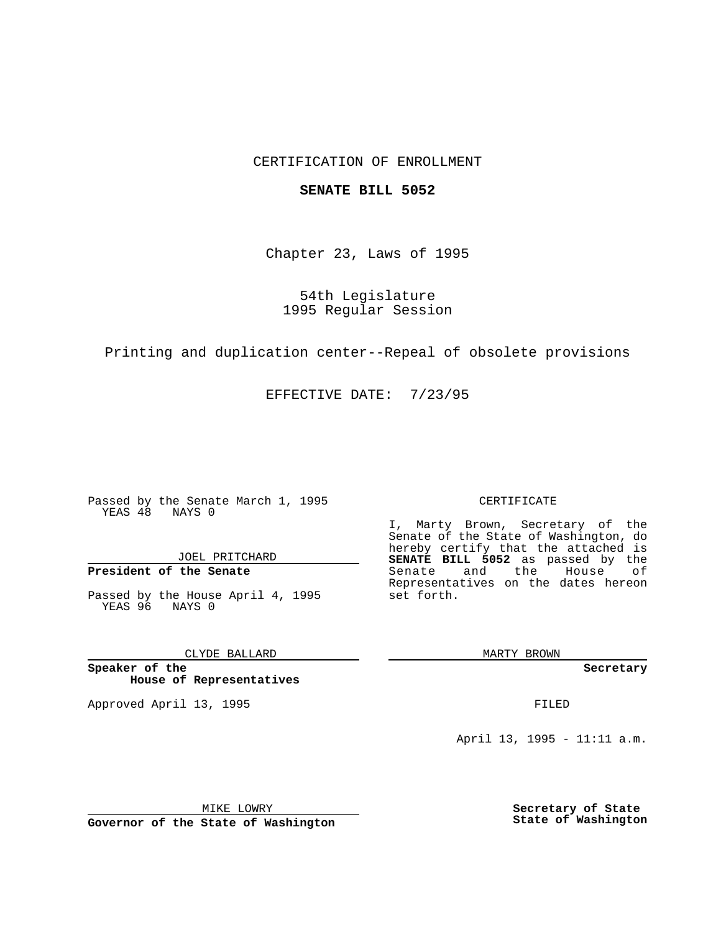## CERTIFICATION OF ENROLLMENT

### **SENATE BILL 5052**

Chapter 23, Laws of 1995

54th Legislature 1995 Regular Session

Printing and duplication center--Repeal of obsolete provisions

EFFECTIVE DATE: 7/23/95

Passed by the Senate March 1, 1995 YEAS 48 NAYS 0

JOEL PRITCHARD

**President of the Senate**

Passed by the House April 4, 1995 YEAS 96 NAYS 0

CLYDE BALLARD

**Speaker of the House of Representatives**

Approved April 13, 1995 FILED

#### CERTIFICATE

I, Marty Brown, Secretary of the Senate of the State of Washington, do hereby certify that the attached is **SENATE BILL 5052** as passed by the Senate and the House of Representatives on the dates hereon set forth.

MARTY BROWN

**Secretary**

April 13, 1995 - 11:11 a.m.

MIKE LOWRY **Governor of the State of Washington** **Secretary of State State of Washington**